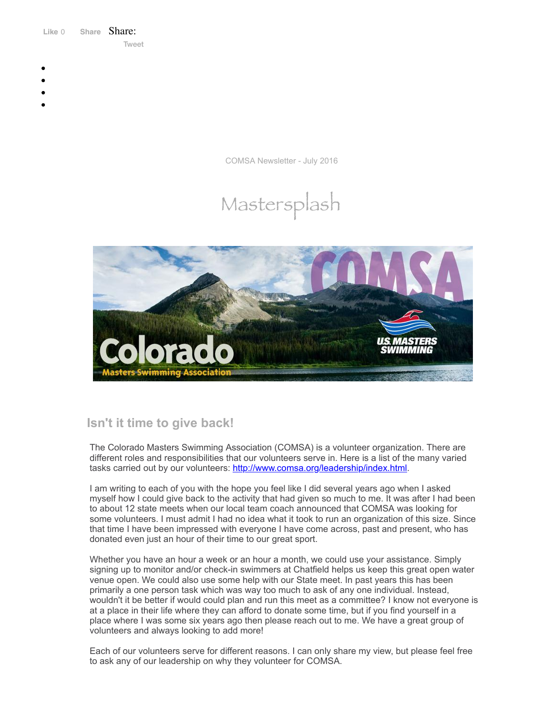Like 0 **[Share](https://www.facebook.com/sharer/sharer.php?u=https%3A%2F%2Fmyemail.constantcontact.com%2FCOMSA-Newsletter---July-2016.html%3Fsoid%3D1108936408185%26aid%3DCZ2A1eXqhcg&display=popup&ref=plugin&src=like&kid_directed_site=0&app_id=120295828008556)** Share: [Tweet](https://twitter.com/intent/tweet?original_referer=https%3A%2F%2Fmyemail.constantcontact.com%2FCOMSA-Newsletter---July-2016.html%3Fsoid%3D1108936408185%26aid%3DCZ2A1eXqhcg&ref_src=twsrc%5Etfw&text=COMSA%20Newsletter%20-%20July%202016&tw_p=tweetbutton&url=https%3A%2F%2Fmyemail.constantcontact.com%2FCOMSA-Newsletter---July-2016.html%3Fsoid%3D1108936408185%26aid%3DCZ2A1eXqhcg)

- 
- 
- 
- 
- 

COMSA Newsletter - July 2016

# Mastersplash



# **Isn't it time to give back!**

The Colorado Masters Swimming Association (COMSA) is a volunteer organization. There are different roles and responsibilities that our volunteers serve in. Here is a list of the many varied tasks carried out by our volunteers: [http://www.comsa.org/leadership/index.html.](http://www.comsa.org/leadership/index.html)

I am writing to each of you with the hope you feel like I did several years ago when I asked myself how I could give back to the activity that had given so much to me. It was after I had been to about 12 state meets when our local team coach announced that COMSA was looking for some volunteers. I must admit I had no idea what it took to run an organization of this size. Since that time I have been impressed with everyone I have come across, past and present, who has donated even just an hour of their time to our great sport.

Whether you have an hour a week or an hour a month, we could use your assistance. Simply signing up to monitor and/or check-in swimmers at Chatfield helps us keep this great open water venue open. We could also use some help with our State meet. In past years this has been primarily a one person task which was way too much to ask of any one individual. Instead, wouldn't it be better if would could plan and run this meet as a committee? I know not everyone is at a place in their life where they can afford to donate some time, but if you find yourself in a place where I was some six years ago then please reach out to me. We have a great group of volunteers and always looking to add more!

Each of our volunteers serve for different reasons. I can only share my view, but please feel free to ask any of our leadership on why they volunteer for COMSA.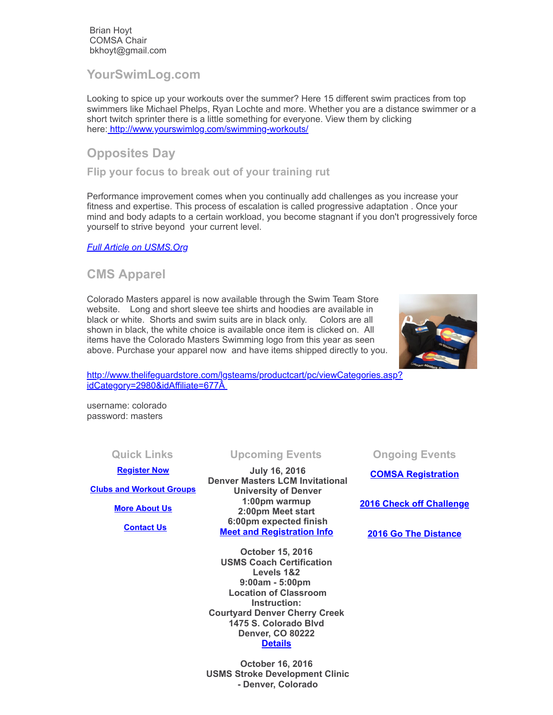Brian Hoyt COMSA Chair bkhoyt@gmail.com

**YourSwimLog.com**

Looking to spice up your workouts over the summer? Here 15 different swim practices from top swimmers like Michael Phelps, Ryan Lochte and more. Whether you are a distance swimmer or a short twitch sprinter there is a little something for everyone. View them by clicking here: <http://www.yourswimlog.com/swimming-workouts/>

## **Opposites Day**

**Flip your focus to break out of your training rut**

Performance improvement comes when you continually add challenges as you increase your fitness and expertise. This process of escalation is called progressive adaptation . Once your mind and body adapts to a certain workload, you become stagnant if you don't progressively force yourself to strive beyond your current level.

*Full Article on [USMS.Org](http://www.usms.org/articles/articledisplay.php?aid=3245)*

### **CMS Apparel**

Colorado Masters apparel is now available through the Swim Team Store website. Long and short sleeve tee shirts and hoodies are available in black or white. Shorts and swim suits are in black only. Colors are all shown in black, the white choice is available once item is clicked on. All items have the Colorado Masters Swimming logo from this year as seen above. Purchase your apparel now and have items shipped directly to you.



[http://www.thelifeguardstore.com/lgsteams/productcart/pc/viewCategories.asp?](http://www.thelifeguardstore.com/lgsteams/productcart/pc/viewCategories.asp?idCategory=2980&idAffiliate=677) idCategory=2980&idAffiliate=677Â

username: colorado password: masters

### **[Register Now](http://comsa.org/joining/index.html)**

**[Clubs and Workout Groups](http://comsa.org/clubs/index.html)**

### **[More About Us](http://comsa.org/)**

 **[Contact Us](mailto:swimkdavis@gmail.com)**

**July 16, 2016 Denver Masters LCM Invitational University of Denver 1:00pm warmup 2:00pm Meet start 6:00pm expected finish Meet and [Registration](https://www.clubassistant.com/club/meet_information.cfm?c=2307&smid=8040) Info**

**October 15, 2016 USMS Coach Certification Levels 1&2 9:00am - 5:00pm Location of Classroom Instruction: Courtyard Denver Cherry Creek 1475 S. Colorado Blvd Denver, CO 80222 [Details](https://www.clubassistant.com/club/clinics/reserve.cfm?c=1758&cid=70344)**

**October 16, 2016 USMS Stroke Development Clinic - Denver, Colorado**

**Quick Links Upcoming Events Ongoing Events**

**COMSA [Registration](http://www.comsa.org/joining/index.html)**

**2016 Check off [Challenge](http://www.usms.org/fitness/content/checkoff)**

**2016 Go The [Distance](http://www.usms.org/fitness/content/gothedistance)**